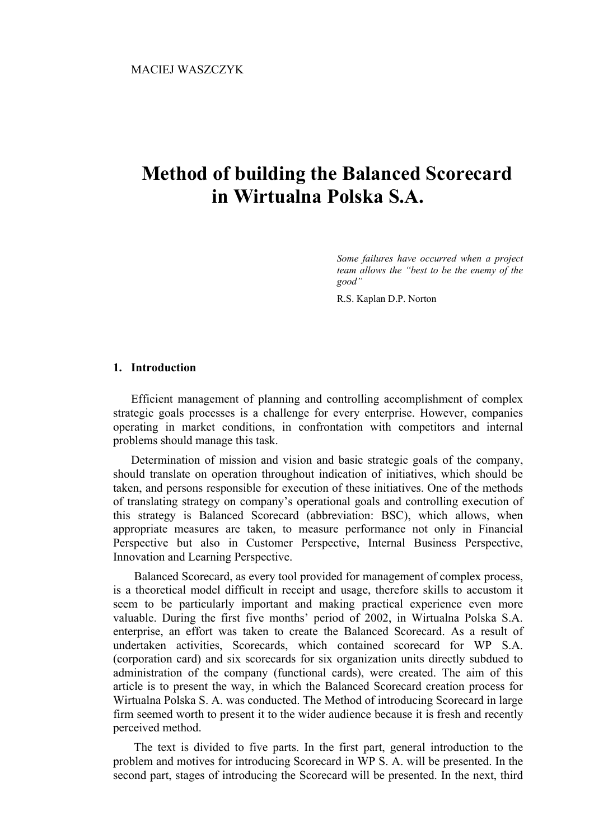# **Method of building the Balanced Scorecard in Wirtualna Polska S.A.**

*Some failures have occurred when a project team allows the "best to be the enemy of the good"* 

R.S. Kaplan D.P. Norton

# **1. Introduction**

Efficient management of planning and controlling accomplishment of complex strategic goals processes is a challenge for every enterprise. However, companies operating in market conditions, in confrontation with competitors and internal problems should manage this task.

Determination of mission and vision and basic strategic goals of the company, should translate on operation throughout indication of initiatives, which should be taken, and persons responsible for execution of these initiatives. One of the methods of translating strategy on company's operational goals and controlling execution of this strategy is Balanced Scorecard (abbreviation: BSC), which allows, when appropriate measures are taken, to measure performance not only in Financial Perspective but also in Customer Perspective, Internal Business Perspective, Innovation and Learning Perspective.

 Balanced Scorecard, as every tool provided for management of complex process, is a theoretical model difficult in receipt and usage, therefore skills to accustom it seem to be particularly important and making practical experience even more valuable. During the first five months' period of 2002, in Wirtualna Polska S.A. enterprise, an effort was taken to create the Balanced Scorecard. As a result of undertaken activities, Scorecards, which contained scorecard for WP S.A. (corporation card) and six scorecards for six organization units directly subdued to administration of the company (functional cards), were created. The aim of this article is to present the way, in which the Balanced Scorecard creation process for Wirtualna Polska S. A. was conducted. The Method of introducing Scorecard in large firm seemed worth to present it to the wider audience because it is fresh and recently perceived method.

 The text is divided to five parts. In the first part, general introduction to the problem and motives for introducing Scorecard in WP S. A. will be presented. In the second part, stages of introducing the Scorecard will be presented. In the next, third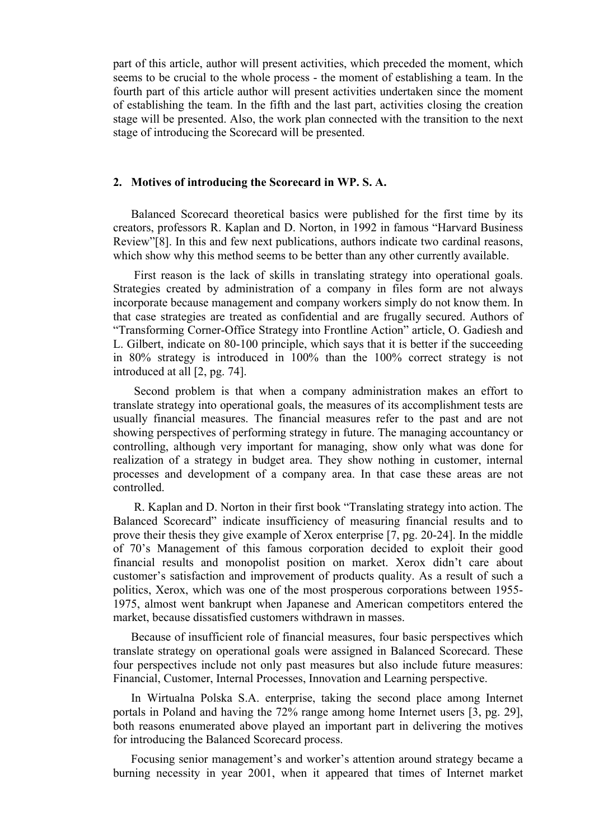part of this article, author will present activities, which preceded the moment, which seems to be crucial to the whole process - the moment of establishing a team. In the fourth part of this article author will present activities undertaken since the moment of establishing the team. In the fifth and the last part, activities closing the creation stage will be presented. Also, the work plan connected with the transition to the next stage of introducing the Scorecard will be presented.

# **2. Motives of introducing the Scorecard in WP. S. A.**

Balanced Scorecard theoretical basics were published for the first time by its creators, professors R. Kaplan and D. Norton, in 1992 in famous "Harvard Business Review"[8]. In this and few next publications, authors indicate two cardinal reasons, which show why this method seems to be better than any other currently available.

First reason is the lack of skills in translating strategy into operational goals. Strategies created by administration of a company in files form are not always incorporate because management and company workers simply do not know them. In that case strategies are treated as confidential and are frugally secured. Authors of "Transforming Corner-Office Strategy into Frontline Action" article, O. Gadiesh and L. Gilbert, indicate on 80-100 principle, which says that it is better if the succeeding in 80% strategy is introduced in 100% than the 100% correct strategy is not introduced at all [2, pg. 74].

 Second problem is that when a company administration makes an effort to translate strategy into operational goals, the measures of its accomplishment tests are usually financial measures. The financial measures refer to the past and are not showing perspectives of performing strategy in future. The managing accountancy or controlling, although very important for managing, show only what was done for realization of a strategy in budget area. They show nothing in customer, internal processes and development of a company area. In that case these areas are not controlled.

 R. Kaplan and D. Norton in their first book "Translating strategy into action. The Balanced Scorecard" indicate insufficiency of measuring financial results and to prove their thesis they give example of Xerox enterprise [7, pg. 20-24]. In the middle of 70's Management of this famous corporation decided to exploit their good financial results and monopolist position on market. Xerox didn't care about customer's satisfaction and improvement of products quality. As a result of such a politics, Xerox, which was one of the most prosperous corporations between 1955- 1975, almost went bankrupt when Japanese and American competitors entered the market, because dissatisfied customers withdrawn in masses.

Because of insufficient role of financial measures, four basic perspectives which translate strategy on operational goals were assigned in Balanced Scorecard. These four perspectives include not only past measures but also include future measures: Financial, Customer, Internal Processes, Innovation and Learning perspective.

In Wirtualna Polska S.A. enterprise, taking the second place among Internet portals in Poland and having the 72% range among home Internet users [3, pg. 29], both reasons enumerated above played an important part in delivering the motives for introducing the Balanced Scorecard process.

Focusing senior management's and worker's attention around strategy became a burning necessity in year 2001, when it appeared that times of Internet market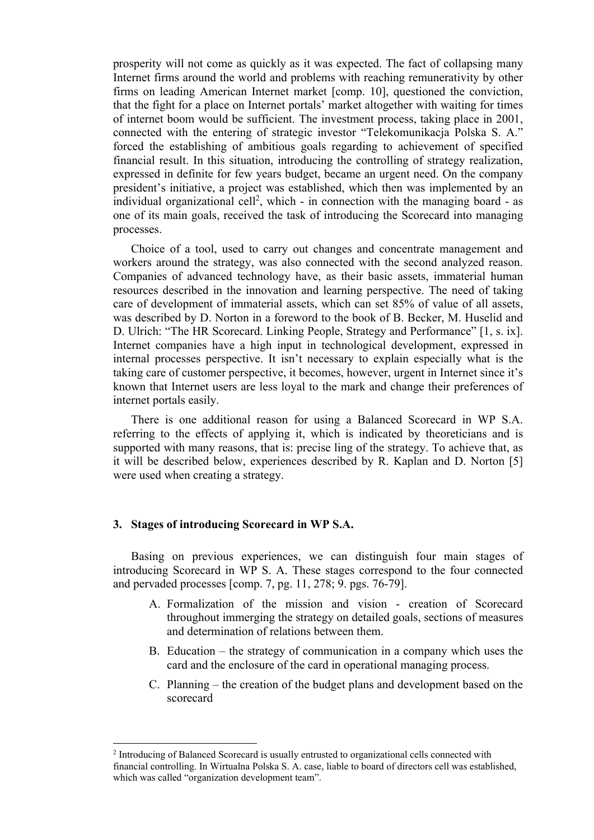prosperity will not come as quickly as it was expected. The fact of collapsing many Internet firms around the world and problems with reaching remunerativity by other firms on leading American Internet market [comp. 10], questioned the conviction, that the fight for a place on Internet portals' market altogether with waiting for times of internet boom would be sufficient. The investment process, taking place in 2001, connected with the entering of strategic investor "Telekomunikacja Polska S. A." forced the establishing of ambitious goals regarding to achievement of specified financial result. In this situation, introducing the controlling of strategy realization, expressed in definite for few years budget, became an urgent need. On the company president's initiative, a project was established, which then was implemented by an individual organizational cell<sup>2</sup>, which - in connection with the managing board - as one of its main goals, received the task of introducing the Scorecard into managing processes.

Choice of a tool, used to carry out changes and concentrate management and workers around the strategy, was also connected with the second analyzed reason. Companies of advanced technology have, as their basic assets, immaterial human resources described in the innovation and learning perspective. The need of taking care of development of immaterial assets, which can set 85% of value of all assets, was described by D. Norton in a foreword to the book of B. Becker, M. Huselid and D. Ulrich: "The HR Scorecard. Linking People, Strategy and Performance" [1, s. ix]. Internet companies have a high input in technological development, expressed in internal processes perspective. It isn't necessary to explain especially what is the taking care of customer perspective, it becomes, however, urgent in Internet since it's known that Internet users are less loyal to the mark and change their preferences of internet portals easily.

There is one additional reason for using a Balanced Scorecard in WP S.A. referring to the effects of applying it, which is indicated by theoreticians and is supported with many reasons, that is: precise ling of the strategy. To achieve that, as it will be described below, experiences described by R. Kaplan and D. Norton [5] were used when creating a strategy.

# **3. Stages of introducing Scorecard in WP S.A.**

Basing on previous experiences, we can distinguish four main stages of introducing Scorecard in WP S. A. These stages correspond to the four connected and pervaded processes [comp. 7, pg. 11, 278; 9. pgs. 76-79].

- A. Formalization of the mission and vision creation of Scorecard throughout immerging the strategy on detailed goals, sections of measures and determination of relations between them.
- B. Education the strategy of communication in a company which uses the card and the enclosure of the card in operational managing process.
- C. Planning the creation of the budget plans and development based on the scorecard

<sup>&</sup>lt;sup>2</sup> Introducing of Balanced Scorecard is usually entrusted to organizational cells connected with financial controlling. In Wirtualna Polska S. A. case, liable to board of directors cell was established, which was called "organization development team".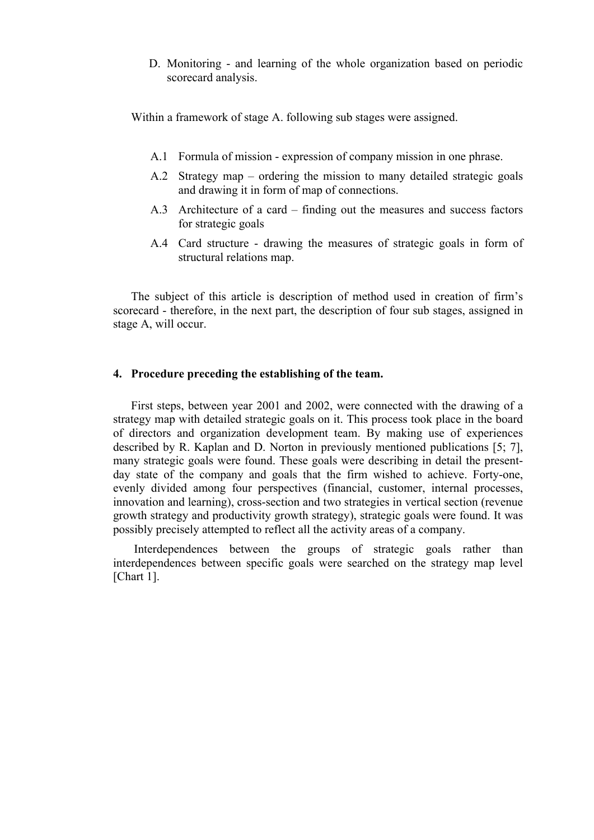D. Monitoring - and learning of the whole organization based on periodic scorecard analysis.

Within a framework of stage A. following sub stages were assigned.

- A.1 Formula of mission expression of company mission in one phrase.
- A.2 Strategy map ordering the mission to many detailed strategic goals and drawing it in form of map of connections.
- A.3 Architecture of a card finding out the measures and success factors for strategic goals
- A.4 Card structure drawing the measures of strategic goals in form of structural relations map.

The subject of this article is description of method used in creation of firm's scorecard - therefore, in the next part, the description of four sub stages, assigned in stage A, will occur.

# **4. Procedure preceding the establishing of the team.**

First steps, between year 2001 and 2002, were connected with the drawing of a strategy map with detailed strategic goals on it. This process took place in the board of directors and organization development team. By making use of experiences described by R. Kaplan and D. Norton in previously mentioned publications [5; 7], many strategic goals were found. These goals were describing in detail the presentday state of the company and goals that the firm wished to achieve. Forty-one, evenly divided among four perspectives (financial, customer, internal processes, innovation and learning), cross-section and two strategies in vertical section (revenue growth strategy and productivity growth strategy), strategic goals were found. It was possibly precisely attempted to reflect all the activity areas of a company.

 Interdependences between the groups of strategic goals rather than interdependences between specific goals were searched on the strategy map level [Chart 1].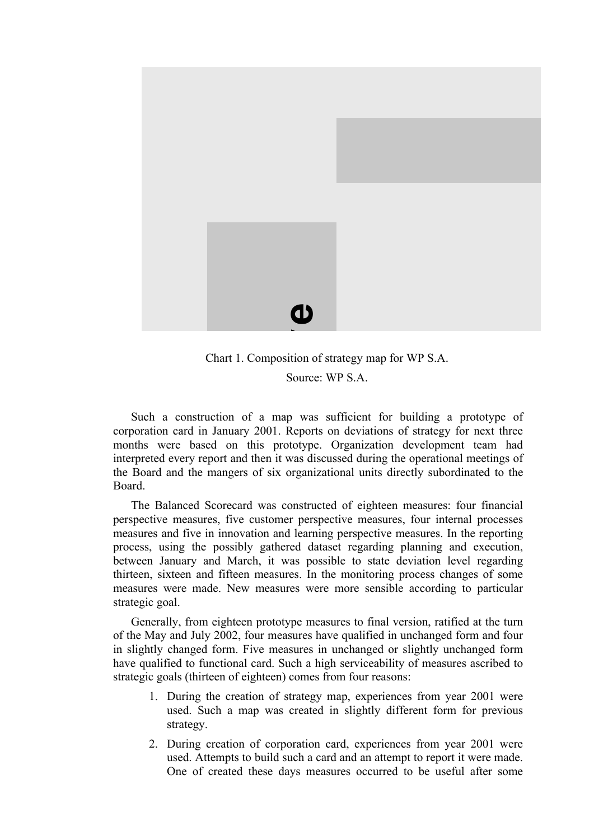

Chart 1. Composition of strategy map for WP S.A.

Source: WP S.A.

Such a construction of a map was sufficient for building a prototype of corporation card in January 2001. Reports on deviations of strategy for next three months were based on this prototype. Organization development team had interpreted every report and then it was discussed during the operational meetings of the Board and the mangers of six organizational units directly subordinated to the Board.

The Balanced Scorecard was constructed of eighteen measures: four financial perspective measures, five customer perspective measures, four internal processes measures and five in innovation and learning perspective measures. In the reporting process, using the possibly gathered dataset regarding planning and execution, between January and March, it was possible to state deviation level regarding thirteen, sixteen and fifteen measures. In the monitoring process changes of some measures were made. New measures were more sensible according to particular strategic goal.

Generally, from eighteen prototype measures to final version, ratified at the turn of the May and July 2002, four measures have qualified in unchanged form and four in slightly changed form. Five measures in unchanged or slightly unchanged form have qualified to functional card. Such a high serviceability of measures ascribed to strategic goals (thirteen of eighteen) comes from four reasons:

- 1. During the creation of strategy map, experiences from year 2001 were used. Such a map was created in slightly different form for previous strategy.
- 2. During creation of corporation card, experiences from year 2001 were used. Attempts to build such a card and an attempt to report it were made. One of created these days measures occurred to be useful after some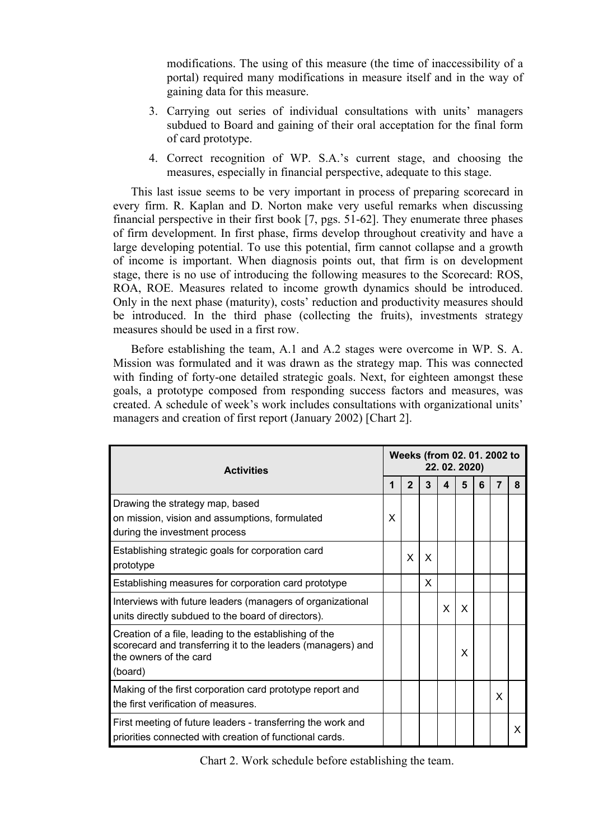modifications. The using of this measure (the time of inaccessibility of a portal) required many modifications in measure itself and in the way of gaining data for this measure.

- 3. Carrying out series of individual consultations with units' managers subdued to Board and gaining of their oral acceptation for the final form of card prototype.
- 4. Correct recognition of WP. S.A.'s current stage, and choosing the measures, especially in financial perspective, adequate to this stage.

This last issue seems to be very important in process of preparing scorecard in every firm. R. Kaplan and D. Norton make very useful remarks when discussing financial perspective in their first book [7, pgs. 51-62]. They enumerate three phases of firm development. In first phase, firms develop throughout creativity and have a large developing potential. To use this potential, firm cannot collapse and a growth of income is important. When diagnosis points out, that firm is on development stage, there is no use of introducing the following measures to the Scorecard: ROS, ROA, ROE. Measures related to income growth dynamics should be introduced. Only in the next phase (maturity), costs' reduction and productivity measures should be introduced. In the third phase (collecting the fruits), investments strategy measures should be used in a first row.

Before establishing the team, A.1 and A.2 stages were overcome in WP. S. A. Mission was formulated and it was drawn as the strategy map. This was connected with finding of forty-one detailed strategic goals. Next, for eighteen amongst these goals, a prototype composed from responding success factors and measures, was created. A schedule of week's work includes consultations with organizational units' managers and creation of first report (January 2002) [Chart 2].

| <b>Activities</b>                                                                                                                                          | Weeks (from 02. 01. 2002 to<br>22.02.2020) |              |   |   |          |   |   |   |  |  |
|------------------------------------------------------------------------------------------------------------------------------------------------------------|--------------------------------------------|--------------|---|---|----------|---|---|---|--|--|
|                                                                                                                                                            |                                            | $\mathbf{2}$ | 3 | Δ | 5        | 6 | 7 | 8 |  |  |
| Drawing the strategy map, based<br>on mission, vision and assumptions, formulated<br>during the investment process                                         | X                                          |              |   |   |          |   |   |   |  |  |
| Establishing strategic goals for corporation card<br>prototype                                                                                             |                                            | X            | X |   |          |   |   |   |  |  |
| Establishing measures for corporation card prototype                                                                                                       |                                            |              | x |   |          |   |   |   |  |  |
| Interviews with future leaders (managers of organizational<br>units directly subdued to the board of directors).                                           |                                            |              |   | X | $\times$ |   |   |   |  |  |
| Creation of a file, leading to the establishing of the<br>scorecard and transferring it to the leaders (managers) and<br>the owners of the card<br>(board) |                                            |              |   |   | X        |   |   |   |  |  |
| Making of the first corporation card prototype report and<br>the first verification of measures.                                                           |                                            |              |   |   |          |   | X |   |  |  |
| First meeting of future leaders - transferring the work and<br>priorities connected with creation of functional cards.                                     |                                            |              |   |   |          |   |   | X |  |  |

Chart 2. Work schedule before establishing the team.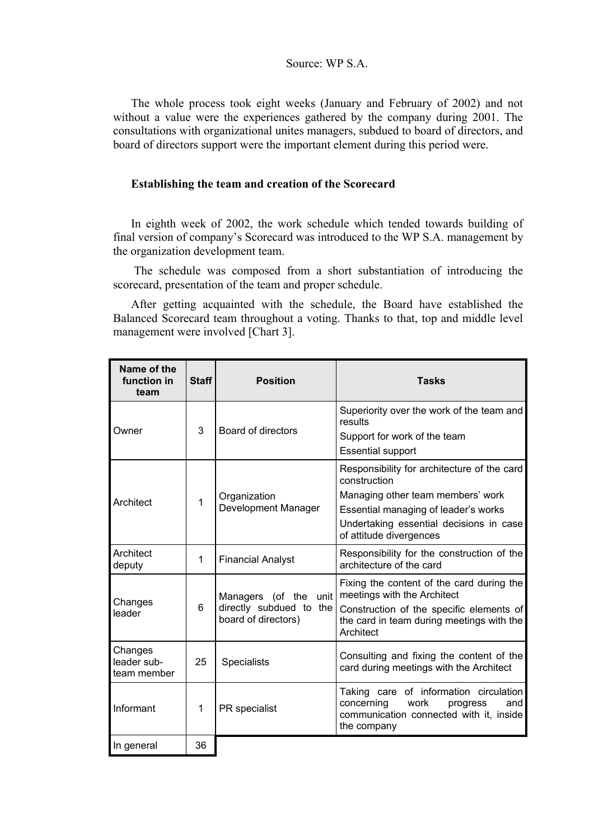# Source: WP S.A.

The whole process took eight weeks (January and February of 2002) and not without a value were the experiences gathered by the company during 2001. The consultations with organizational unites managers, subdued to board of directors, and board of directors support were the important element during this period were.

# **Establishing the team and creation of the Scorecard**

In eighth week of 2002, the work schedule which tended towards building of final version of company's Scorecard was introduced to the WP S.A. management by the organization development team.

 The schedule was composed from a short substantiation of introducing the scorecard, presentation of the team and proper schedule.

After getting acquainted with the schedule, the Board have established the Balanced Scorecard team throughout a voting. Thanks to that, top and middle level management were involved [Chart 3].

| Name of the<br>function in<br>team    | <b>Staff</b> | <b>Position</b>                                                            | <b>Tasks</b>                                                                                                                                                                                                   |
|---------------------------------------|--------------|----------------------------------------------------------------------------|----------------------------------------------------------------------------------------------------------------------------------------------------------------------------------------------------------------|
| Owner                                 | 3            | Board of directors                                                         | Superiority over the work of the team and<br>results<br>Support for work of the team                                                                                                                           |
|                                       |              |                                                                            | <b>Essential support</b>                                                                                                                                                                                       |
| Architect                             | $\mathbf 1$  | Organization<br>Development Manager                                        | Responsibility for architecture of the card<br>construction<br>Managing other team members' work<br>Essential managing of leader's works<br>Undertaking essential decisions in case<br>of attitude divergences |
| Architect<br>deputy                   | 1            | <b>Financial Analyst</b>                                                   | Responsibility for the construction of the<br>architecture of the card                                                                                                                                         |
| Changes<br>leader                     | 6            | unit<br>Managers (of the<br>directly subdued to the<br>board of directors) | Fixing the content of the card during the<br>meetings with the Architect<br>Construction of the specific elements of<br>the card in team during meetings with the<br>Architect                                 |
| Changes<br>leader sub-<br>team member | 25           | Specialists                                                                | Consulting and fixing the content of the<br>card during meetings with the Architect                                                                                                                            |
| Informant                             | 1            | PR specialist                                                              | Taking care of information circulation<br>concerning<br>work<br>progress<br>and<br>communication connected with it, inside<br>the company                                                                      |
| In general                            | 36           |                                                                            |                                                                                                                                                                                                                |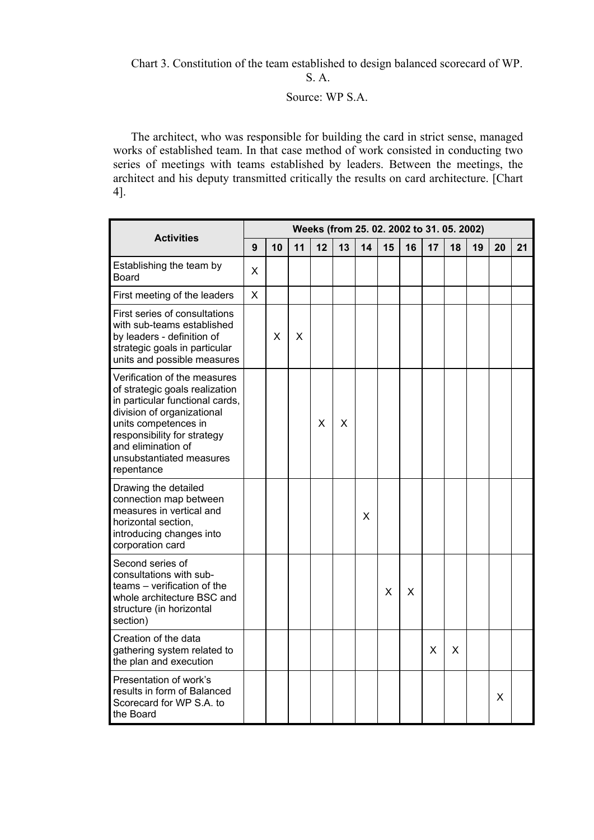Chart 3. Constitution of the team established to design balanced scorecard of WP.

S. A.

# Source: WP S.A.

The architect, who was responsible for building the card in strict sense, managed works of established team. In that case method of work consisted in conducting two series of meetings with teams established by leaders. Between the meetings, the architect and his deputy transmitted critically the results on card architecture. [Chart 4].

|                                                                                                                                                                                                                                                        |   |    |    |    |    |    | Weeks (from 25. 02. 2002 to 31. 05. 2002) |    |    |    |    |    |    |  |  |  |  |
|--------------------------------------------------------------------------------------------------------------------------------------------------------------------------------------------------------------------------------------------------------|---|----|----|----|----|----|-------------------------------------------|----|----|----|----|----|----|--|--|--|--|
| <b>Activities</b>                                                                                                                                                                                                                                      | 9 | 10 | 11 | 12 | 13 | 14 | 15                                        | 16 | 17 | 18 | 19 | 20 | 21 |  |  |  |  |
| Establishing the team by<br><b>Board</b>                                                                                                                                                                                                               | X |    |    |    |    |    |                                           |    |    |    |    |    |    |  |  |  |  |
| First meeting of the leaders                                                                                                                                                                                                                           | X |    |    |    |    |    |                                           |    |    |    |    |    |    |  |  |  |  |
| First series of consultations<br>with sub-teams established<br>by leaders - definition of<br>strategic goals in particular<br>units and possible measures                                                                                              |   | X  | X  |    |    |    |                                           |    |    |    |    |    |    |  |  |  |  |
| Verification of the measures<br>of strategic goals realization<br>in particular functional cards,<br>division of organizational<br>units competences in<br>responsibility for strategy<br>and elimination of<br>unsubstantiated measures<br>repentance |   |    |    | X  | X  |    |                                           |    |    |    |    |    |    |  |  |  |  |
| Drawing the detailed<br>connection map between<br>measures in vertical and<br>horizontal section,<br>introducing changes into<br>corporation card                                                                                                      |   |    |    |    |    | X  |                                           |    |    |    |    |    |    |  |  |  |  |
| Second series of<br>consultations with sub-<br>teams – verification of the<br>whole architecture BSC and<br>structure (in horizontal<br>section)                                                                                                       |   |    |    |    |    |    | X                                         | X  |    |    |    |    |    |  |  |  |  |
| Creation of the data<br>gathering system related to<br>the plan and execution                                                                                                                                                                          |   |    |    |    |    |    |                                           |    | X  | X  |    |    |    |  |  |  |  |
| Presentation of work's<br>results in form of Balanced<br>Scorecard for WP S.A. to<br>the Board                                                                                                                                                         |   |    |    |    |    |    |                                           |    |    |    |    | x  |    |  |  |  |  |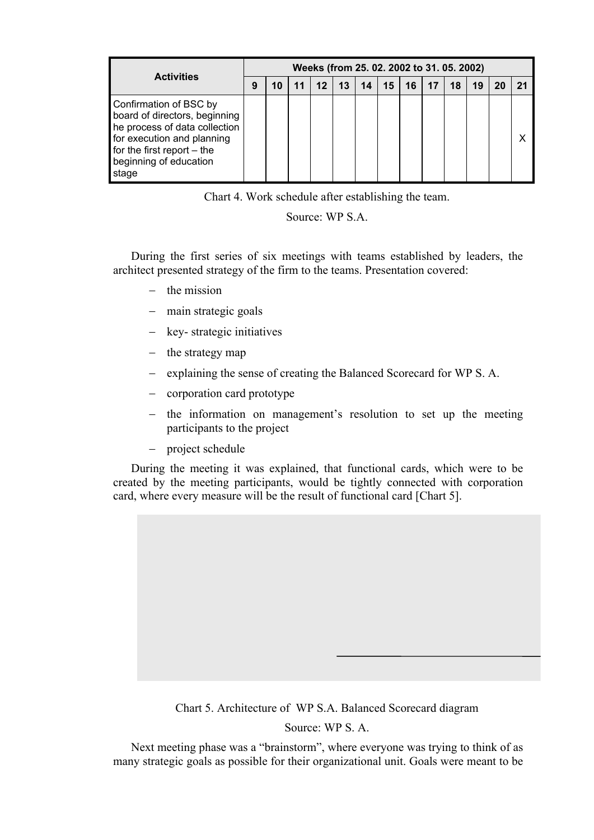| <b>Activities</b>                                                                                                                                                                         |  | Weeks (from 25.02.2002 to 31.05.2002) |  |         |    |    |    |    |  |    |    |  |
|-------------------------------------------------------------------------------------------------------------------------------------------------------------------------------------------|--|---------------------------------------|--|---------|----|----|----|----|--|----|----|--|
|                                                                                                                                                                                           |  | 10                                    |  | $12 \,$ | 13 | 14 | 15 | 16 |  | 18 | 19 |  |
| Confirmation of BSC by<br>board of directors, beginning<br>he process of data collection<br>for execution and planning<br>for the first report $-$ the<br>beginning of education<br>stage |  |                                       |  |         |    |    |    |    |  |    |    |  |

Chart 4. Work schedule after establishing the team.

Source: WP S.A.

During the first series of six meetings with teams established by leaders, the architect presented strategy of the firm to the teams. Presentation covered:

- $-$  the mission
- main strategic goals
- key-strategic initiatives
- $-$  the strategy map
- explaining the sense of creating the Balanced Scorecard for WP S. A.
- corporation card prototype
- the information on management's resolution to set up the meeting participants to the project
- project schedule

During the meeting it was explained, that functional cards, which were to be created by the meeting participants, would be tightly connected with corporation card, where every measure will be the result of functional card [Chart 5].

Chart 5. Architecture of WP S.A. Balanced Scorecard diagram

Source: WP S. A.

Next meeting phase was a "brainstorm", where everyone was trying to think of as many strategic goals as possible for their organizational unit. Goals were meant to be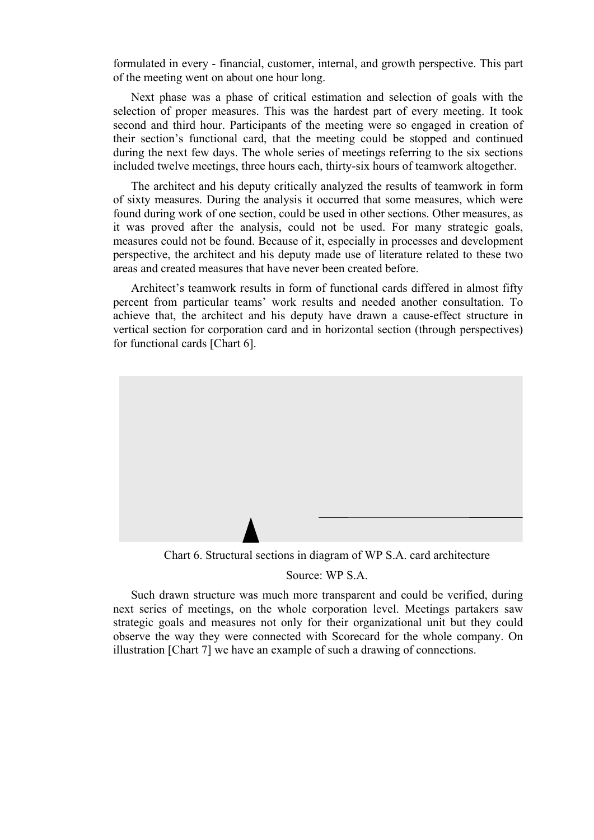formulated in every - financial, customer, internal, and growth perspective. This part of the meeting went on about one hour long.

Next phase was a phase of critical estimation and selection of goals with the selection of proper measures. This was the hardest part of every meeting. It took second and third hour. Participants of the meeting were so engaged in creation of their section's functional card, that the meeting could be stopped and continued during the next few days. The whole series of meetings referring to the six sections included twelve meetings, three hours each, thirty-six hours of teamwork altogether.

The architect and his deputy critically analyzed the results of teamwork in form of sixty measures. During the analysis it occurred that some measures, which were found during work of one section, could be used in other sections. Other measures, as it was proved after the analysis, could not be used. For many strategic goals, measures could not be found. Because of it, especially in processes and development perspective, the architect and his deputy made use of literature related to these two areas and created measures that have never been created before.

Architect's teamwork results in form of functional cards differed in almost fifty percent from particular teams' work results and needed another consultation. To achieve that, the architect and his deputy have drawn a cause-effect structure in vertical section for corporation card and in horizontal section (through perspectives) for functional cards [Chart 6].



#### Source: WP S.A.

Such drawn structure was much more transparent and could be verified, during next series of meetings, on the whole corporation level. Meetings partakers saw strategic goals and measures not only for their organizational unit but they could observe the way they were connected with Scorecard for the whole company. On illustration [Chart 7] we have an example of such a drawing of connections.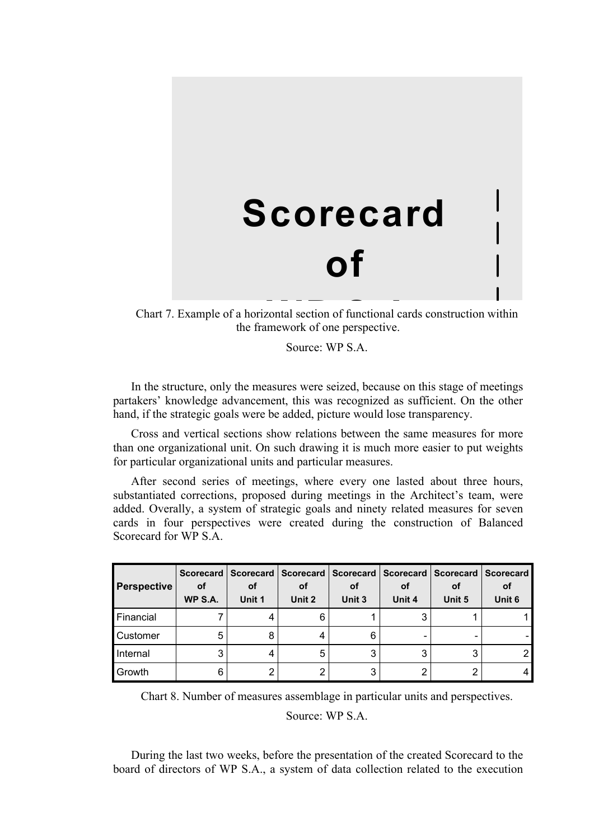# **Scorecard**

# **of**

Chart 7. Example of a horizontal section of functional cards construction within the framework of one perspective.

Source: WP S.A.

In the structure, only the measures were seized, because on this stage of meetings partakers' knowledge advancement, this was recognized as sufficient. On the other hand, if the strategic goals were be added, picture would lose transparency.

Cross and vertical sections show relations between the same measures for more than one organizational unit. On such drawing it is much more easier to put weights for particular organizational units and particular measures.

After second series of meetings, where every one lasted about three hours, substantiated corrections, proposed during meetings in the Architect's team, were added. Overally, a system of strategic goals and ninety related measures for seven cards in four perspectives were created during the construction of Balanced Scorecard for WP S.A.

| <b>Perspective</b> | <b>Scorecard</b><br>οf<br>WP S.A. | οf<br>Unit 1 | Scorecard   Scorecard   Scorecard   Scorecard   Scorecard  <br>οf<br>Unit 2 | оf<br>Unit 3 | οf<br>Unit 4 | оf<br>Unit 5 | <b>Scorecard</b><br>οf<br>Unit 6 |  |
|--------------------|-----------------------------------|--------------|-----------------------------------------------------------------------------|--------------|--------------|--------------|----------------------------------|--|
| Financial          |                                   |              | 6                                                                           |              |              |              |                                  |  |
| Customer           | 5                                 | 8            |                                                                             | 6            |              |              |                                  |  |
| Internal           | 3                                 |              | 5                                                                           | 3            |              | 3            |                                  |  |
| Growth             | 6                                 | 2            | ◠                                                                           | 3            |              |              |                                  |  |

Chart 8. Number of measures assemblage in particular units and perspectives.

Source: WP S.A.

During the last two weeks, before the presentation of the created Scorecard to the board of directors of WP S.A., a system of data collection related to the execution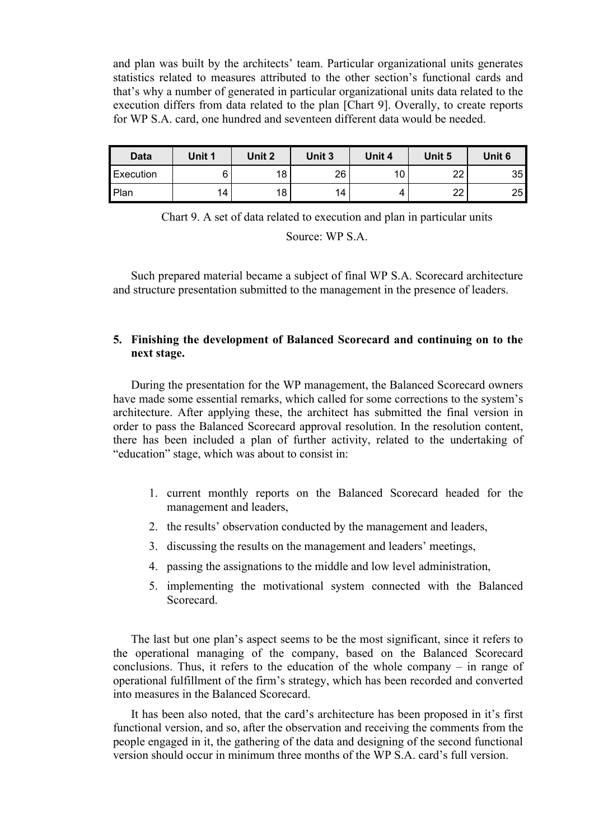and plan was built by the architects' team. Particular organizational units generates statistics related to measures attributed to the other section's functional cards and that's why a number of generated in particular organizational units data related to the execution differs from data related to the plan [Chart 9]. Overally, to create reports for WP S.A. card, one hundred and seventeen different data would be needed.

| Data      | Unit 1 | Unit 2 | Unit 3          | Unit 4 | Unit 5   | Unit 6 |  |
|-----------|--------|--------|-----------------|--------|----------|--------|--|
| Execution |        | 18     | 26              | 10     | າາ       | 35     |  |
| Plan      | 14     | 18     | 14 <sub>1</sub> | 4      | າາ<br>∠∠ | 25     |  |

Chart 9. A set of data related to execution and plan in particular units

Source: WP S.A.

Such prepared material became a subject of final WP S.A. Scorecard architecture and structure presentation submitted to the management in the presence of leaders.

# **5. Finishing the development of Balanced Scorecard and continuing on to the next stage.**

During the presentation for the WP management, the Balanced Scorecard owners have made some essential remarks, which called for some corrections to the system's architecture. After applying these, the architect has submitted the final version in order to pass the Balanced Scorecard approval resolution. In the resolution content, there has been included a plan of further activity, related to the undertaking of "education" stage, which was about to consist in:

- 1. current monthly reports on the Balanced Scorecard headed for the management and leaders,
- 2. the results' observation conducted by the management and leaders,
- 3. discussing the results on the management and leaders' meetings,
- 4. passing the assignations to the middle and low level administration,
- 5. implementing the motivational system connected with the Balanced Scorecard.

The last but one plan's aspect seems to be the most significant, since it refers to the operational managing of the company, based on the Balanced Scorecard conclusions. Thus, it refers to the education of the whole company – in range of operational fulfillment of the firm's strategy, which has been recorded and converted into measures in the Balanced Scorecard.

It has been also noted, that the card's architecture has been proposed in it's first functional version, and so, after the observation and receiving the comments from the people engaged in it, the gathering of the data and designing of the second functional version should occur in minimum three months of the WP S.A. card's full version.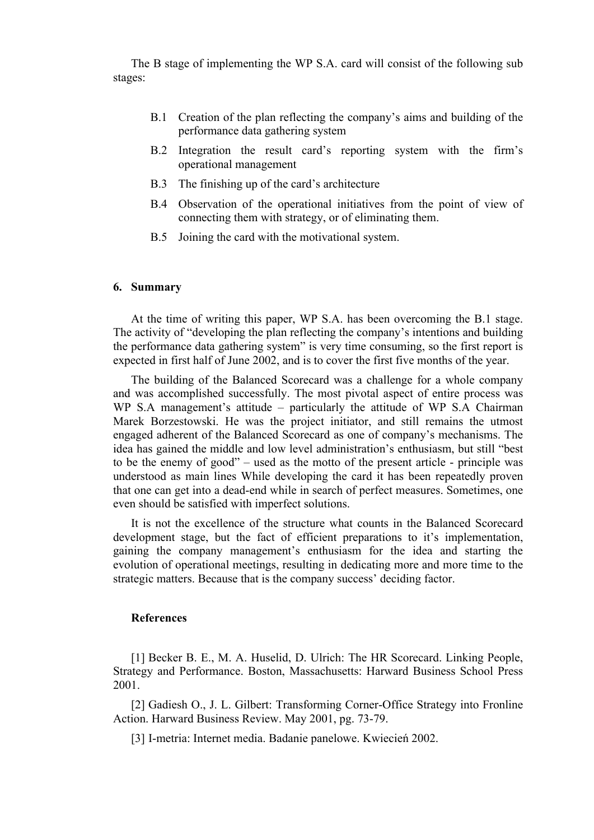The B stage of implementing the WP S.A. card will consist of the following sub stages:

- B.1 Creation of the plan reflecting the company's aims and building of the performance data gathering system
- B.2 Integration the result card's reporting system with the firm's operational management
- B.3 The finishing up of the card's architecture
- B.4 Observation of the operational initiatives from the point of view of connecting them with strategy, or of eliminating them.
- B.5 Joining the card with the motivational system.

### **6. Summary**

At the time of writing this paper, WP S.A. has been overcoming the B.1 stage. The activity of "developing the plan reflecting the company's intentions and building the performance data gathering system" is very time consuming, so the first report is expected in first half of June 2002, and is to cover the first five months of the year.

The building of the Balanced Scorecard was a challenge for a whole company and was accomplished successfully. The most pivotal aspect of entire process was WP S.A management's attitude – particularly the attitude of WP S.A Chairman Marek Borzestowski. He was the project initiator, and still remains the utmost engaged adherent of the Balanced Scorecard as one of company's mechanisms. The idea has gained the middle and low level administration's enthusiasm, but still "best to be the enemy of good" – used as the motto of the present article - principle was understood as main lines While developing the card it has been repeatedly proven that one can get into a dead-end while in search of perfect measures. Sometimes, one even should be satisfied with imperfect solutions.

It is not the excellence of the structure what counts in the Balanced Scorecard development stage, but the fact of efficient preparations to it's implementation, gaining the company management's enthusiasm for the idea and starting the evolution of operational meetings, resulting in dedicating more and more time to the strategic matters. Because that is the company success' deciding factor.

#### **References**

[1] Becker B. E., M. A. Huselid, D. Ulrich: The HR Scorecard. Linking People, Strategy and Performance. Boston, Massachusetts: Harward Business School Press 2001.

[2] Gadiesh O., J. L. Gilbert: Transforming Corner-Office Strategy into Fronline Action. Harward Business Review. May 2001, pg. 73-79.

[3] I-metria: Internet media. Badanie panelowe. Kwiecień 2002.